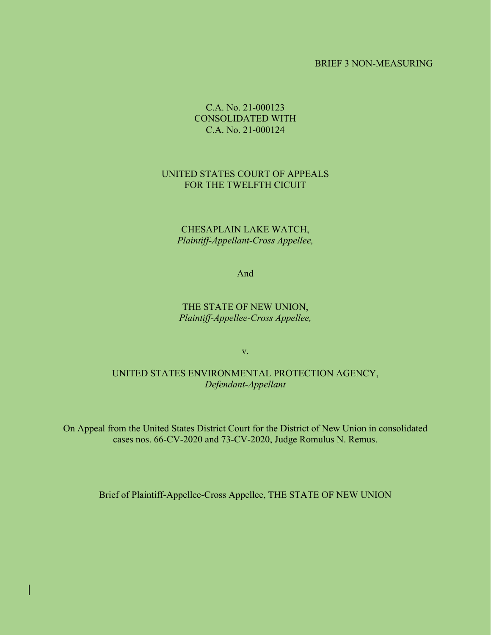#### BRIEF 3 NON-MEASURING

### C.A. No. 21-000123 CONSOLIDATED WITH C.A. No. 21-000124

### UNITED STATES COURT OF APPEALS FOR THE TWELFTH CICUIT

### CHESAPLAIN LAKE WATCH, *Plaintiff-Appellant-Cross Appellee,*

And

### THE STATE OF NEW UNION, *Plaintiff-Appellee-Cross Appellee,*

v.

#### UNITED STATES ENVIRONMENTAL PROTECTION AGENCY, *Defendant-Appellant*

On Appeal from the United States District Court for the District of New Union in consolidated cases nos. 66-CV-2020 and 73-CV-2020, Judge Romulus N. Remus.

Brief of Plaintiff-Appellee-Cross Appellee, THE STATE OF NEW UNION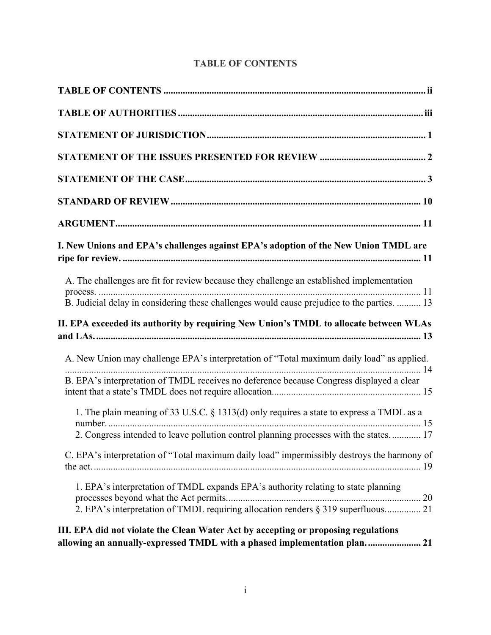| I. New Unions and EPA's challenges against EPA's adoption of the New Union TMDL are                                                                                     |
|-------------------------------------------------------------------------------------------------------------------------------------------------------------------------|
| A. The challenges are fit for review because they challenge an established implementation                                                                               |
| B. Judicial delay in considering these challenges would cause prejudice to the parties.  13                                                                             |
| II. EPA exceeded its authority by requiring New Union's TMDL to allocate between WLAs                                                                                   |
| A. New Union may challenge EPA's interpretation of "Total maximum daily load" as applied.                                                                               |
| B. EPA's interpretation of TMDL receives no deference because Congress displayed a clear                                                                                |
| 1. The plain meaning of 33 U.S.C. § 1313(d) only requires a state to express a TMDL as a                                                                                |
| 2. Congress intended to leave pollution control planning processes with the states 17                                                                                   |
| C. EPA's interpretation of "Total maximum daily load" impermissibly destroys the harmony of                                                                             |
| 1. EPA's interpretation of TMDL expands EPA's authority relating to state planning<br>2. EPA's interpretation of TMDL requiring allocation renders § 319 superfluous 21 |
| III. EPA did not violate the Clean Water Act by accepting or proposing regulations<br>allowing an annually-expressed TMDL with a phased implementation plan 21          |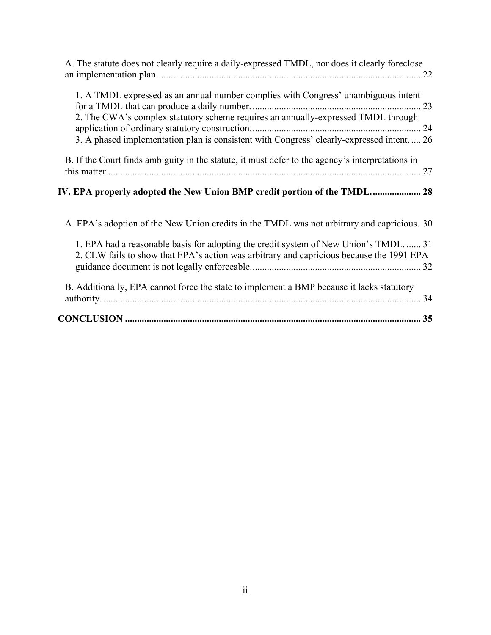| A. The statute does not clearly require a daily-expressed TMDL, nor does it clearly foreclose                                                                                                                                                                         |
|-----------------------------------------------------------------------------------------------------------------------------------------------------------------------------------------------------------------------------------------------------------------------|
| 1. A TMDL expressed as an annual number complies with Congress' unambiguous intent<br>2. The CWA's complex statutory scheme requires an annually-expressed TMDL through<br>3. A phased implementation plan is consistent with Congress' clearly-expressed intent.  26 |
| B. If the Court finds ambiguity in the statute, it must defer to the agency's interpretations in                                                                                                                                                                      |
| IV. EPA properly adopted the New Union BMP credit portion of the TMDL 28                                                                                                                                                                                              |
| A. EPA's adoption of the New Union credits in the TMDL was not arbitrary and capricious. 30                                                                                                                                                                           |
| 1. EPA had a reasonable basis for adopting the credit system of New Union's TMDL 31<br>2. CLW fails to show that EPA's action was arbitrary and capricious because the 1991 EPA                                                                                       |
| B. Additionally, EPA cannot force the state to implement a BMP because it lacks statutory                                                                                                                                                                             |
|                                                                                                                                                                                                                                                                       |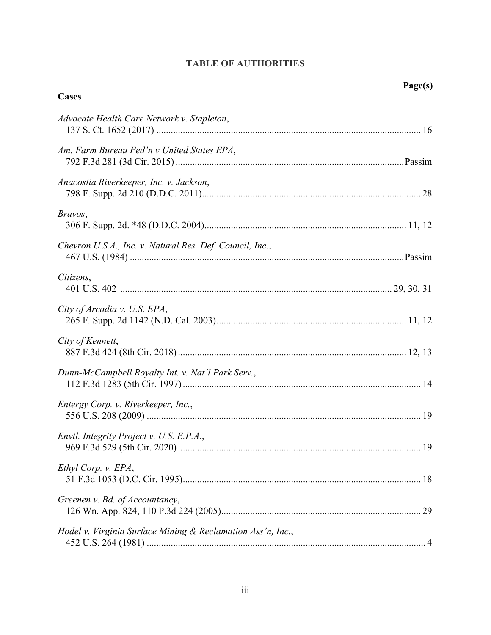# **TABLE OF AUTHORITIES**

**Cases**

| ο<br>u<br>π<br>٠, |
|-------------------|
|-------------------|

| Advocate Health Care Network v. Stapleton,                  |  |
|-------------------------------------------------------------|--|
| Am. Farm Bureau Fed'n v United States EPA,                  |  |
| Anacostia Riverkeeper, Inc. v. Jackson,                     |  |
| Bravos,                                                     |  |
| Chevron U.S.A., Inc. v. Natural Res. Def. Council, Inc.,    |  |
| Citizens,                                                   |  |
| City of Arcadia v. U.S. EPA,                                |  |
| City of Kennett,                                            |  |
| Dunn-McCampbell Royalty Int. v. Nat'l Park Serv.,           |  |
| Entergy Corp. v. Riverkeeper, Inc.,                         |  |
| Envtl. Integrity Project v. U.S. E.P.A.,                    |  |
| Ethyl Corp. v. EPA,                                         |  |
| Greenen v. Bd. of Accountancy,                              |  |
| Hodel v. Virginia Surface Mining & Reclamation Ass'n, Inc., |  |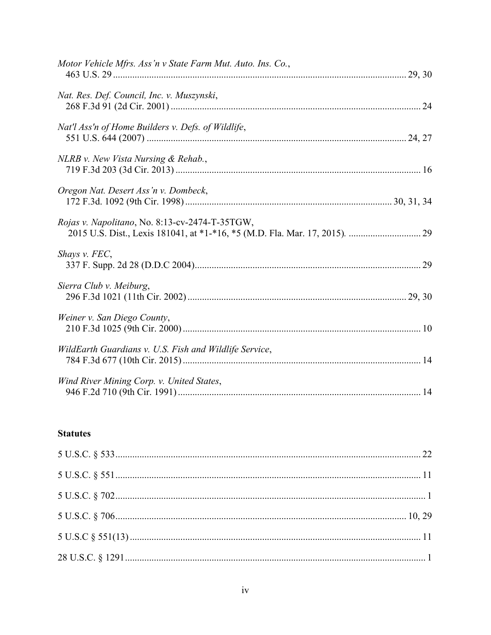| Motor Vehicle Mfrs. Ass'n v State Farm Mut. Auto. Ins. Co., |  |
|-------------------------------------------------------------|--|
| Nat. Res. Def. Council, Inc. v. Muszynski,                  |  |
| Nat'l Ass'n of Home Builders v. Defs. of Wildlife,          |  |
| NLRB v. New Vista Nursing & Rehab.,                         |  |
| Oregon Nat. Desert Ass'n v. Dombeck,                        |  |
| Rojas v. Napolitano, No. 8:13-cv-2474-T-35TGW,              |  |
| Shays v. FEC,                                               |  |
| Sierra Club v. Meiburg,                                     |  |
| Weiner v. San Diego County,                                 |  |
| WildEarth Guardians v. U.S. Fish and Wildlife Service,      |  |
| Wind River Mining Corp. v. United States,                   |  |

## **Statutes**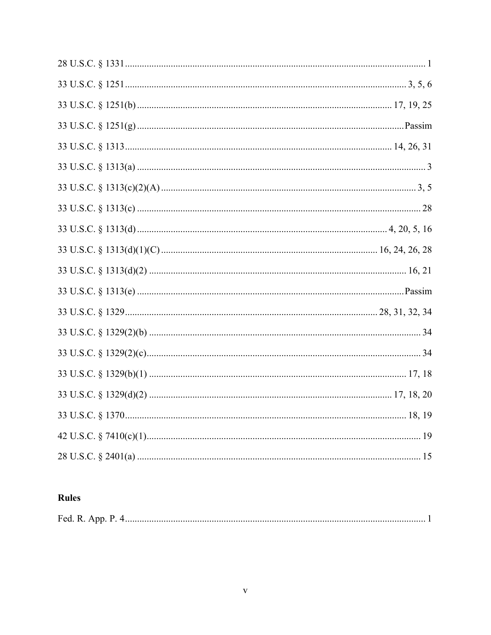# Rules

| Fed. R. App. P. |  |
|-----------------|--|
|-----------------|--|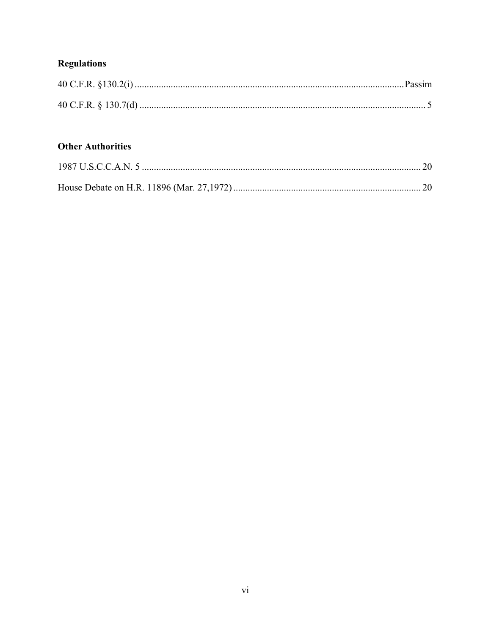# **Regulations**

# **Other Authorities**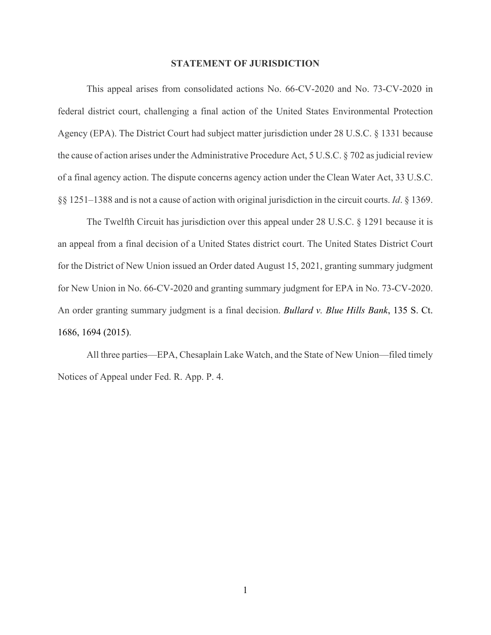#### **STATEMENT OF JURISDICTION**

This appeal arises from consolidated actions No. 66-CV-2020 and No. 73-CV-2020 in federal district court, challenging a final action of the United States Environmental Protection Agency (EPA). The District Court had subject matter jurisdiction under 28 U.S.C. § 1331 because the cause of action arises under the Administrative Procedure Act, 5 U.S.C. § 702 as judicial review of a final agency action. The dispute concerns agency action under the Clean Water Act, 33 U.S.C. §§ 1251–1388 and is not a cause of action with original jurisdiction in the circuit courts. *Id*. § 1369.

The Twelfth Circuit has jurisdiction over this appeal under 28 U.S.C. § 1291 because it is an appeal from a final decision of a United States district court. The United States District Court for the District of New Union issued an Order dated August 15, 2021, granting summary judgment for New Union in No. 66-CV-2020 and granting summary judgment for EPA in No. 73-CV-2020. An order granting summary judgment is a final decision. *Bullard v. Blue Hills Bank*, 135 S. Ct. 1686, 1694 (2015).

All three parties—EPA, Chesaplain Lake Watch, and the State of New Union—filed timely Notices of Appeal under Fed. R. App. P. 4.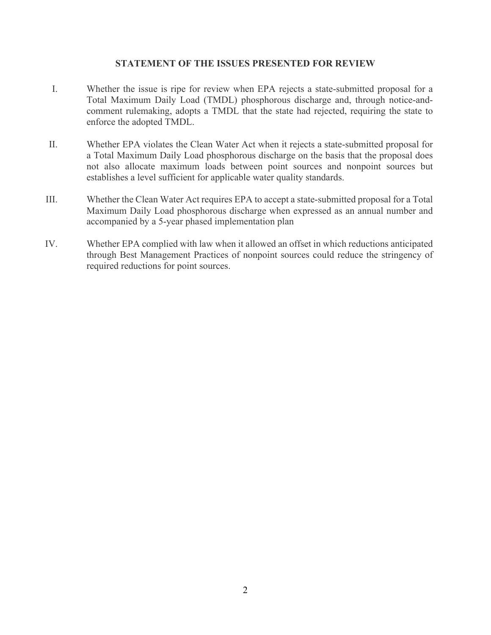#### **STATEMENT OF THE ISSUES PRESENTED FOR REVIEW**

- I. Whether the issue is ripe for review when EPA rejects a state-submitted proposal for a Total Maximum Daily Load (TMDL) phosphorous discharge and, through notice-andcomment rulemaking, adopts a TMDL that the state had rejected, requiring the state to enforce the adopted TMDL.
- II. Whether EPA violates the Clean Water Act when it rejects a state-submitted proposal for a Total Maximum Daily Load phosphorous discharge on the basis that the proposal does not also allocate maximum loads between point sources and nonpoint sources but establishes a level sufficient for applicable water quality standards.
- III. Whether the Clean Water Act requires EPA to accept a state-submitted proposal for a Total Maximum Daily Load phosphorous discharge when expressed as an annual number and accompanied by a 5-year phased implementation plan
- IV. Whether EPA complied with law when it allowed an offset in which reductions anticipated through Best Management Practices of nonpoint sources could reduce the stringency of required reductions for point sources.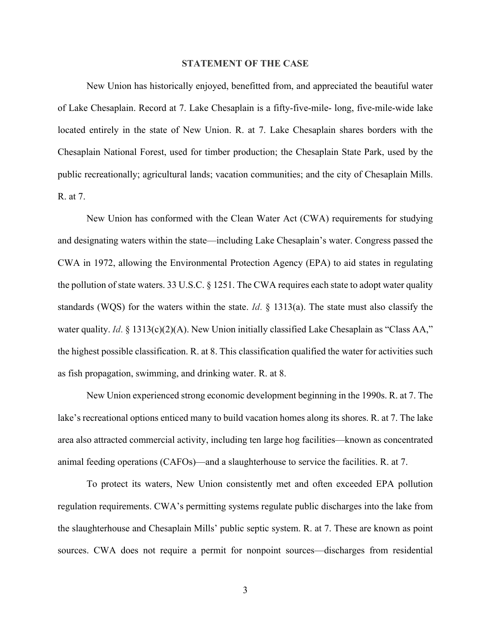#### **STATEMENT OF THE CASE**

New Union has historically enjoyed, benefitted from, and appreciated the beautiful water of Lake Chesaplain. Record at 7. Lake Chesaplain is a fifty-five-mile- long, five-mile-wide lake located entirely in the state of New Union. R. at 7. Lake Chesaplain shares borders with the Chesaplain National Forest, used for timber production; the Chesaplain State Park, used by the public recreationally; agricultural lands; vacation communities; and the city of Chesaplain Mills. R. at 7.

New Union has conformed with the Clean Water Act (CWA) requirements for studying and designating waters within the state—including Lake Chesaplain's water. Congress passed the CWA in 1972, allowing the Environmental Protection Agency (EPA) to aid states in regulating the pollution of state waters. 33 U.S.C. § 1251. The CWA requires each state to adopt water quality standards (WQS) for the waters within the state. *Id*. § 1313(a). The state must also classify the water quality. *Id.* § 1313(c)(2)(A). New Union initially classified Lake Chesaplain as "Class AA," the highest possible classification. R. at 8. This classification qualified the water for activities such as fish propagation, swimming, and drinking water. R. at 8.

New Union experienced strong economic development beginning in the 1990s. R. at 7. The lake's recreational options enticed many to build vacation homes along its shores. R. at 7. The lake area also attracted commercial activity, including ten large hog facilities—known as concentrated animal feeding operations (CAFOs)—and a slaughterhouse to service the facilities. R. at 7.

To protect its waters, New Union consistently met and often exceeded EPA pollution regulation requirements. CWA's permitting systems regulate public discharges into the lake from the slaughterhouse and Chesaplain Mills' public septic system. R. at 7. These are known as point sources. CWA does not require a permit for nonpoint sources—discharges from residential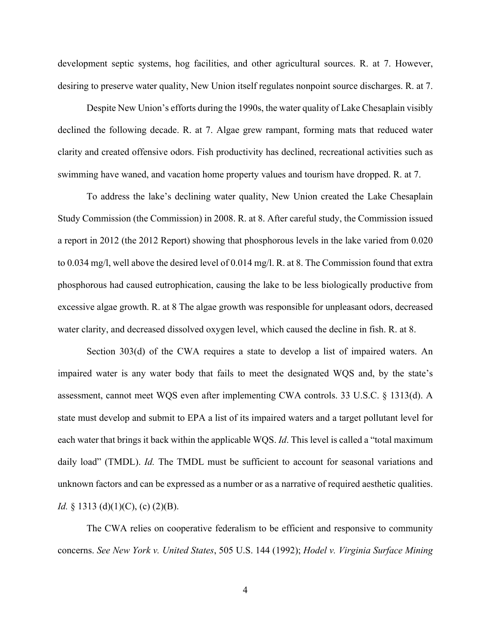development septic systems, hog facilities, and other agricultural sources. R. at 7. However, desiring to preserve water quality, New Union itself regulates nonpoint source discharges. R. at 7.

Despite New Union's efforts during the 1990s, the water quality of Lake Chesaplain visibly declined the following decade. R. at 7. Algae grew rampant, forming mats that reduced water clarity and created offensive odors. Fish productivity has declined, recreational activities such as swimming have waned, and vacation home property values and tourism have dropped. R. at 7.

To address the lake's declining water quality, New Union created the Lake Chesaplain Study Commission (the Commission) in 2008. R. at 8. After careful study, the Commission issued a report in 2012 (the 2012 Report) showing that phosphorous levels in the lake varied from 0.020 to 0.034 mg/l, well above the desired level of 0.014 mg/l. R. at 8. The Commission found that extra phosphorous had caused eutrophication, causing the lake to be less biologically productive from excessive algae growth. R. at 8 The algae growth was responsible for unpleasant odors, decreased water clarity, and decreased dissolved oxygen level, which caused the decline in fish. R. at 8.

Section 303(d) of the CWA requires a state to develop a list of impaired waters. An impaired water is any water body that fails to meet the designated WQS and, by the state's assessment, cannot meet WQS even after implementing CWA controls. 33 U.S.C. § 1313(d). A state must develop and submit to EPA a list of its impaired waters and a target pollutant level for each water that brings it back within the applicable WQS. *Id*. This level is called a "total maximum daily load" (TMDL). *Id.* The TMDL must be sufficient to account for seasonal variations and unknown factors and can be expressed as a number or as a narrative of required aesthetic qualities. *Id.* § 1313 (d)(1)(C), (c) (2)(B).

The CWA relies on cooperative federalism to be efficient and responsive to community concerns. *See New York v. United States*, 505 U.S. 144 (1992); *Hodel v. Virginia Surface Mining*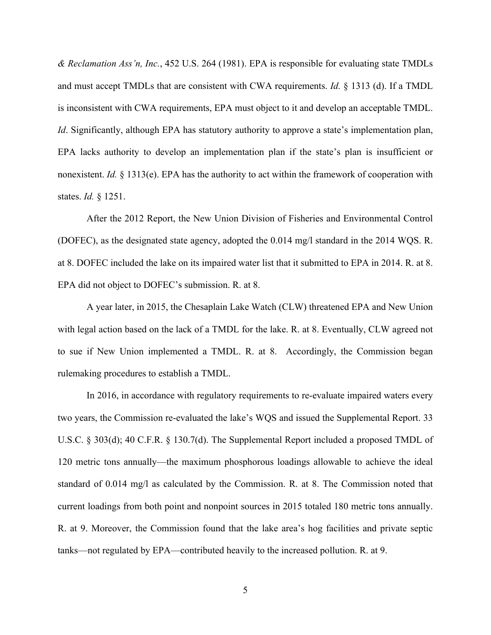*& Reclamation Ass'n, Inc.*, 452 U.S. 264 (1981). EPA is responsible for evaluating state TMDLs and must accept TMDLs that are consistent with CWA requirements. *Id.* § 1313 (d). If a TMDL is inconsistent with CWA requirements, EPA must object to it and develop an acceptable TMDL. *Id*. Significantly, although EPA has statutory authority to approve a state's implementation plan, EPA lacks authority to develop an implementation plan if the state's plan is insufficient or nonexistent. *Id.* § 1313(e). EPA has the authority to act within the framework of cooperation with states. *Id.* § 1251.

After the 2012 Report, the New Union Division of Fisheries and Environmental Control (DOFEC), as the designated state agency, adopted the 0.014 mg/l standard in the 2014 WQS. R. at 8. DOFEC included the lake on its impaired water list that it submitted to EPA in 2014. R. at 8. EPA did not object to DOFEC's submission. R. at 8.

A year later, in 2015, the Chesaplain Lake Watch (CLW) threatened EPA and New Union with legal action based on the lack of a TMDL for the lake. R. at 8. Eventually, CLW agreed not to sue if New Union implemented a TMDL. R. at 8. Accordingly, the Commission began rulemaking procedures to establish a TMDL.

In 2016, in accordance with regulatory requirements to re-evaluate impaired waters every two years, the Commission re-evaluated the lake's WQS and issued the Supplemental Report. 33 U.S.C. § 303(d); 40 C.F.R. § 130.7(d). The Supplemental Report included a proposed TMDL of 120 metric tons annually—the maximum phosphorous loadings allowable to achieve the ideal standard of 0.014 mg/l as calculated by the Commission. R. at 8. The Commission noted that current loadings from both point and nonpoint sources in 2015 totaled 180 metric tons annually. R. at 9. Moreover, the Commission found that the lake area's hog facilities and private septic tanks—not regulated by EPA—contributed heavily to the increased pollution. R. at 9.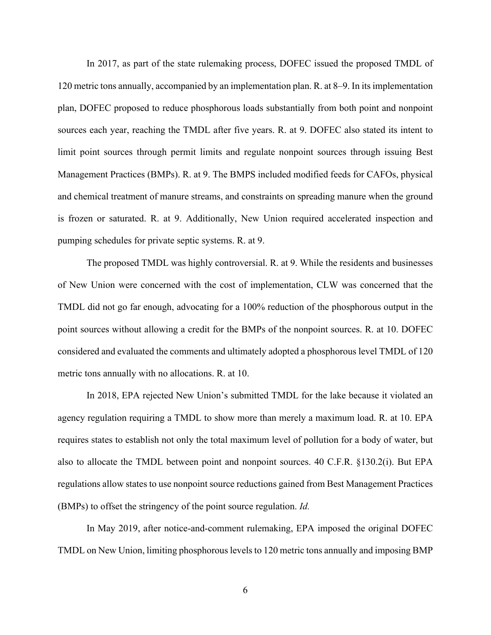In 2017, as part of the state rulemaking process, DOFEC issued the proposed TMDL of 120 metric tons annually, accompanied by an implementation plan. R. at 8–9. In its implementation plan, DOFEC proposed to reduce phosphorous loads substantially from both point and nonpoint sources each year, reaching the TMDL after five years. R. at 9. DOFEC also stated its intent to limit point sources through permit limits and regulate nonpoint sources through issuing Best Management Practices (BMPs). R. at 9. The BMPS included modified feeds for CAFOs, physical and chemical treatment of manure streams, and constraints on spreading manure when the ground is frozen or saturated. R. at 9. Additionally, New Union required accelerated inspection and pumping schedules for private septic systems. R. at 9.

The proposed TMDL was highly controversial. R. at 9. While the residents and businesses of New Union were concerned with the cost of implementation, CLW was concerned that the TMDL did not go far enough, advocating for a 100% reduction of the phosphorous output in the point sources without allowing a credit for the BMPs of the nonpoint sources. R. at 10. DOFEC considered and evaluated the comments and ultimately adopted a phosphorous level TMDL of 120 metric tons annually with no allocations. R. at 10.

In 2018, EPA rejected New Union's submitted TMDL for the lake because it violated an agency regulation requiring a TMDL to show more than merely a maximum load. R. at 10. EPA requires states to establish not only the total maximum level of pollution for a body of water, but also to allocate the TMDL between point and nonpoint sources. 40 C.F.R. §130.2(i). But EPA regulations allow states to use nonpoint source reductions gained from Best Management Practices (BMPs) to offset the stringency of the point source regulation. *Id.*

In May 2019, after notice-and-comment rulemaking, EPA imposed the original DOFEC TMDL on New Union, limiting phosphorous levels to 120 metric tons annually and imposing BMP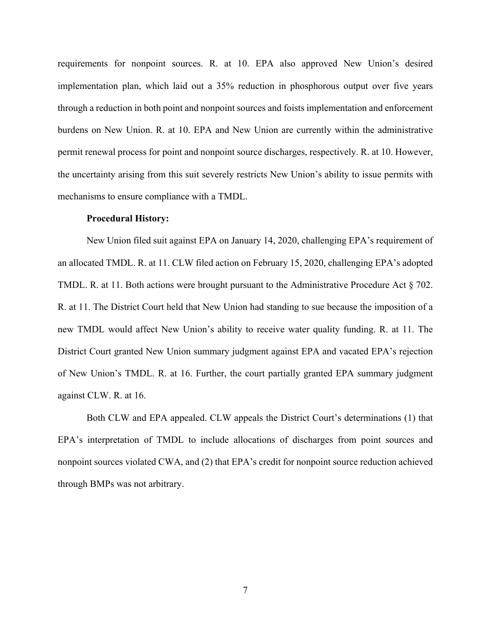requirements for nonpoint sources. R. at 10. EPA also approved New Union's desired implementation plan, which laid out a 35% reduction in phosphorous output over five years through a reduction in both point and nonpoint sources and foists implementation and enforcement burdens on New Union. R. at 10. EPA and New Union are currently within the administrative permit renewal process for point and nonpoint source discharges, respectively. R. at 10. However, the uncertainty arising from this suit severely restricts New Union's ability to issue permits with mechanisms to ensure compliance with a TMDL.

#### **Procedural History:**

New Union filed suit against EPA on January 14, 2020, challenging EPA's requirement of an allocated TMDL. R. at 11. CLW filed action on February 15, 2020, challenging EPA's adopted TMDL. R. at 11. Both actions were brought pursuant to the Administrative Procedure Act § 702. R. at 11. The District Court held that New Union had standing to sue because the imposition of a new TMDL would affect New Union's ability to receive water quality funding. R. at 11. The District Court granted New Union summary judgment against EPA and vacated EPA's rejection of New Union's TMDL. R. at 16. Further, the court partially granted EPA summary judgment against CLW. R. at 16.

 Both CLW and EPA appealed. CLW appeals the District Court's determinations (1) that EPA's interpretation of TMDL to include allocations of discharges from point sources and nonpoint sources violated CWA, and (2) that EPA's credit for nonpoint source reduction achieved through BMPs was not arbitrary.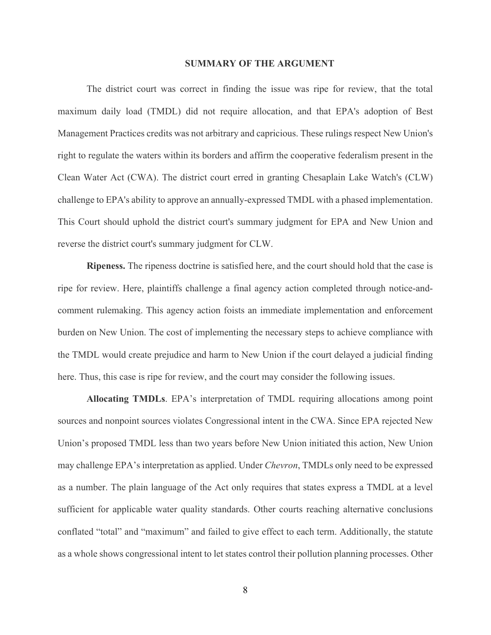#### **SUMMARY OF THE ARGUMENT**

The district court was correct in finding the issue was ripe for review, that the total maximum daily load (TMDL) did not require allocation, and that EPA's adoption of Best Management Practices credits was not arbitrary and capricious. These rulings respect New Union's right to regulate the waters within its borders and affirm the cooperative federalism present in the Clean Water Act (CWA). The district court erred in granting Chesaplain Lake Watch's (CLW) challenge to EPA's ability to approve an annually-expressed TMDL with a phased implementation. This Court should uphold the district court's summary judgment for EPA and New Union and reverse the district court's summary judgment for CLW.

**Ripeness.** The ripeness doctrine is satisfied here, and the court should hold that the case is ripe for review. Here, plaintiffs challenge a final agency action completed through notice-andcomment rulemaking. This agency action foists an immediate implementation and enforcement burden on New Union. The cost of implementing the necessary steps to achieve compliance with the TMDL would create prejudice and harm to New Union if the court delayed a judicial finding here. Thus, this case is ripe for review, and the court may consider the following issues.

**Allocating TMDLs**. EPA's interpretation of TMDL requiring allocations among point sources and nonpoint sources violates Congressional intent in the CWA. Since EPA rejected New Union's proposed TMDL less than two years before New Union initiated this action, New Union may challenge EPA's interpretation as applied. Under *Chevron*, TMDLs only need to be expressed as a number. The plain language of the Act only requires that states express a TMDL at a level sufficient for applicable water quality standards. Other courts reaching alternative conclusions conflated "total" and "maximum" and failed to give effect to each term. Additionally, the statute as a whole shows congressional intent to let states control their pollution planning processes. Other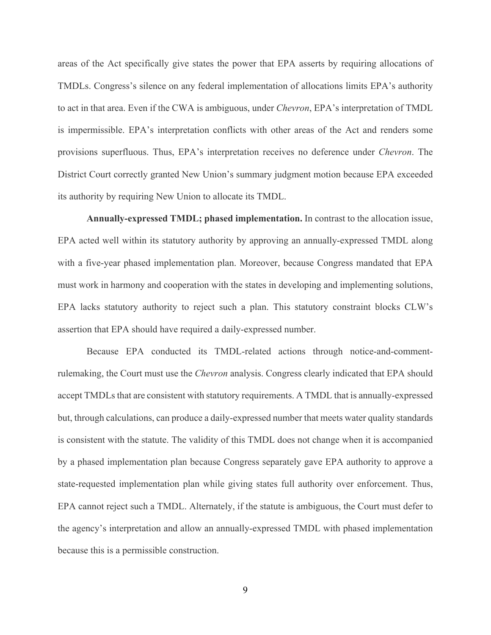areas of the Act specifically give states the power that EPA asserts by requiring allocations of TMDLs. Congress's silence on any federal implementation of allocations limits EPA's authority to act in that area. Even if the CWA is ambiguous, under *Chevron*, EPA's interpretation of TMDL is impermissible. EPA's interpretation conflicts with other areas of the Act and renders some provisions superfluous. Thus, EPA's interpretation receives no deference under *Chevron*. The District Court correctly granted New Union's summary judgment motion because EPA exceeded its authority by requiring New Union to allocate its TMDL.

**Annually-expressed TMDL; phased implementation.** In contrast to the allocation issue, EPA acted well within its statutory authority by approving an annually-expressed TMDL along with a five-year phased implementation plan. Moreover, because Congress mandated that EPA must work in harmony and cooperation with the states in developing and implementing solutions, EPA lacks statutory authority to reject such a plan. This statutory constraint blocks CLW's assertion that EPA should have required a daily-expressed number.

Because EPA conducted its TMDL-related actions through notice-and-commentrulemaking, the Court must use the *Chevron* analysis. Congress clearly indicated that EPA should accept TMDLs that are consistent with statutory requirements. A TMDL that is annually-expressed but, through calculations, can produce a daily-expressed number that meets water quality standards is consistent with the statute. The validity of this TMDL does not change when it is accompanied by a phased implementation plan because Congress separately gave EPA authority to approve a state-requested implementation plan while giving states full authority over enforcement. Thus, EPA cannot reject such a TMDL. Alternately, if the statute is ambiguous, the Court must defer to the agency's interpretation and allow an annually-expressed TMDL with phased implementation because this is a permissible construction.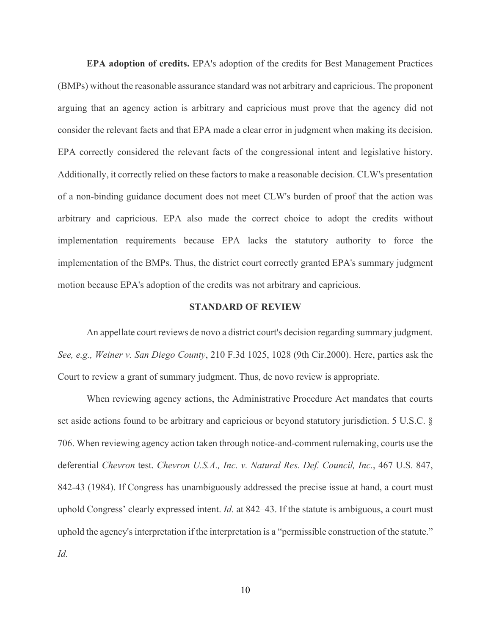**EPA adoption of credits.** EPA's adoption of the credits for Best Management Practices (BMPs) without the reasonable assurance standard was not arbitrary and capricious. The proponent arguing that an agency action is arbitrary and capricious must prove that the agency did not consider the relevant facts and that EPA made a clear error in judgment when making its decision. EPA correctly considered the relevant facts of the congressional intent and legislative history. Additionally, it correctly relied on these factors to make a reasonable decision. CLW's presentation of a non-binding guidance document does not meet CLW's burden of proof that the action was arbitrary and capricious. EPA also made the correct choice to adopt the credits without implementation requirements because EPA lacks the statutory authority to force the implementation of the BMPs. Thus, the district court correctly granted EPA's summary judgment motion because EPA's adoption of the credits was not arbitrary and capricious.

#### **STANDARD OF REVIEW**

An appellate court reviews de novo a district court's decision regarding summary judgment. *See, e.g., Weiner v. San Diego County*, 210 F.3d 1025, 1028 (9th Cir.2000). Here, parties ask the Court to review a grant of summary judgment. Thus, de novo review is appropriate.

When reviewing agency actions, the Administrative Procedure Act mandates that courts set aside actions found to be arbitrary and capricious or beyond statutory jurisdiction. 5 U.S.C. § 706. When reviewing agency action taken through notice-and-comment rulemaking, courts use the deferential *Chevron* test. *Chevron U.S.A., Inc. v. Natural Res. Def. Council, Inc.*, 467 U.S. 847, 842-43 (1984). If Congress has unambiguously addressed the precise issue at hand, a court must uphold Congress' clearly expressed intent. *Id.* at 842–43. If the statute is ambiguous, a court must uphold the agency's interpretation if the interpretation is a "permissible construction of the statute." *Id.*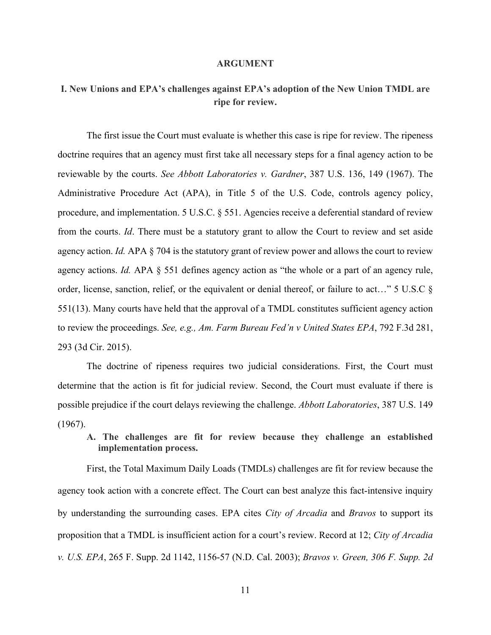#### **ARGUMENT**

# **I. New Unions and EPA's challenges against EPA's adoption of the New Union TMDL are ripe for review.**

The first issue the Court must evaluate is whether this case is ripe for review. The ripeness doctrine requires that an agency must first take all necessary steps for a final agency action to be reviewable by the courts. *See Abbott Laboratories v. Gardner*, 387 U.S. 136, 149 (1967). The Administrative Procedure Act (APA), in Title 5 of the U.S. Code, controls agency policy, procedure, and implementation. 5 U.S.C. § 551. Agencies receive a deferential standard of review from the courts. *Id*. There must be a statutory grant to allow the Court to review and set aside agency action. *Id.* APA § 704 is the statutory grant of review power and allows the court to review agency actions. *Id.* APA § 551 defines agency action as "the whole or a part of an agency rule, order, license, sanction, relief, or the equivalent or denial thereof, or failure to act…" 5 U.S.C § 551(13). Many courts have held that the approval of a TMDL constitutes sufficient agency action to review the proceedings. *See, e.g., Am. Farm Bureau Fed'n v United States EPA*, 792 F.3d 281, 293 (3d Cir. 2015).

The doctrine of ripeness requires two judicial considerations. First, the Court must determine that the action is fit for judicial review. Second, the Court must evaluate if there is possible prejudice if the court delays reviewing the challenge. *Abbott Laboratories*, 387 U.S. 149 (1967).

**A. The challenges are fit for review because they challenge an established implementation process.** 

First, the Total Maximum Daily Loads (TMDLs) challenges are fit for review because the agency took action with a concrete effect. The Court can best analyze this fact-intensive inquiry by understanding the surrounding cases. EPA cites *City of Arcadia* and *Bravos* to support its proposition that a TMDL is insufficient action for a court's review. Record at 12; *City of Arcadia v. U.S. EPA*, 265 F. Supp. 2d 1142, 1156-57 (N.D. Cal. 2003); *Bravos v. Green, 306 F. Supp. 2d*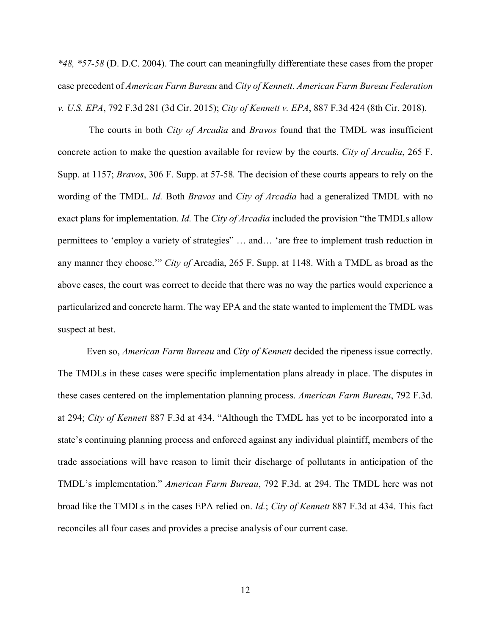*\*48, \*57-58* (D. D.C. 2004). The court can meaningfully differentiate these cases from the proper case precedent of *American Farm Bureau* and *City of Kennett*. *American Farm Bureau Federation v. U.S. EPA*, 792 F.3d 281 (3d Cir. 2015); *City of Kennett v. EPA*, 887 F.3d 424 (8th Cir. 2018).

The courts in both *City of Arcadia* and *Bravos* found that the TMDL was insufficient concrete action to make the question available for review by the courts. *City of Arcadia*, 265 F. Supp. at 1157; *Bravos*, 306 F. Supp. at 57-58*.* The decision of these courts appears to rely on the wording of the TMDL. *Id.* Both *Bravos* and *City of Arcadia* had a generalized TMDL with no exact plans for implementation. *Id.* The *City of Arcadia* included the provision "the TMDLs allow permittees to 'employ a variety of strategies" … and… 'are free to implement trash reduction in any manner they choose.'" *City of* Arcadia, 265 F. Supp. at 1148. With a TMDL as broad as the above cases, the court was correct to decide that there was no way the parties would experience a particularized and concrete harm. The way EPA and the state wanted to implement the TMDL was suspect at best.

Even so, *American Farm Bureau* and *City of Kennett* decided the ripeness issue correctly. The TMDLs in these cases were specific implementation plans already in place. The disputes in these cases centered on the implementation planning process. *American Farm Bureau*, 792 F.3d. at 294; *City of Kennett* 887 F.3d at 434. "Although the TMDL has yet to be incorporated into a state's continuing planning process and enforced against any individual plaintiff, members of the trade associations will have reason to limit their discharge of pollutants in anticipation of the TMDL's implementation." *American Farm Bureau*, 792 F.3d. at 294. The TMDL here was not broad like the TMDLs in the cases EPA relied on. *Id.*; *City of Kennett* 887 F.3d at 434. This fact reconciles all four cases and provides a precise analysis of our current case.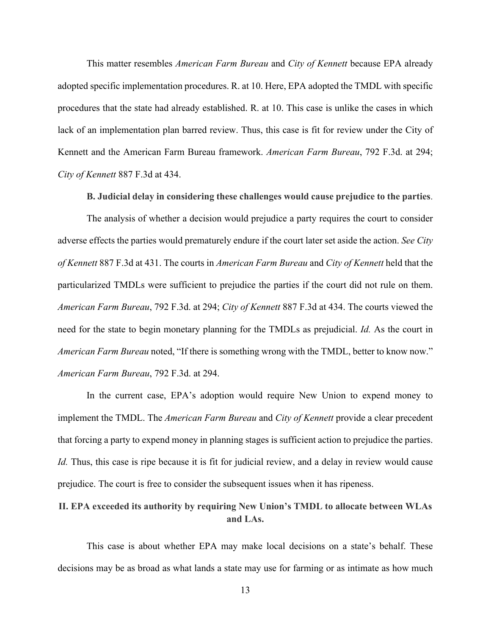This matter resembles *American Farm Bureau* and *City of Kennett* because EPA already adopted specific implementation procedures. R. at 10. Here, EPA adopted the TMDL with specific procedures that the state had already established. R. at 10. This case is unlike the cases in which lack of an implementation plan barred review. Thus, this case is fit for review under the City of Kennett and the American Farm Bureau framework. *American Farm Bureau*, 792 F.3d. at 294; *City of Kennett* 887 F.3d at 434.

**B. Judicial delay in considering these challenges would cause prejudice to the parties**.

The analysis of whether a decision would prejudice a party requires the court to consider adverse effects the parties would prematurely endure if the court later set aside the action. *See City of Kennett* 887 F.3d at 431. The courts in *American Farm Bureau* and *City of Kennett* held that the particularized TMDLs were sufficient to prejudice the parties if the court did not rule on them. *American Farm Bureau*, 792 F.3d. at 294; *City of Kennett* 887 F.3d at 434. The courts viewed the need for the state to begin monetary planning for the TMDLs as prejudicial. *Id.* As the court in *American Farm Bureau* noted, "If there is something wrong with the TMDL, better to know now." *American Farm Bureau*, 792 F.3d. at 294.

In the current case, EPA's adoption would require New Union to expend money to implement the TMDL. The *American Farm Bureau* and *City of Kennett* provide a clear precedent that forcing a party to expend money in planning stages is sufficient action to prejudice the parties. *Id.* Thus, this case is ripe because it is fit for judicial review, and a delay in review would cause prejudice. The court is free to consider the subsequent issues when it has ripeness.

# **II. EPA exceeded its authority by requiring New Union's TMDL to allocate between WLAs and LAs.**

This case is about whether EPA may make local decisions on a state's behalf. These decisions may be as broad as what lands a state may use for farming or as intimate as how much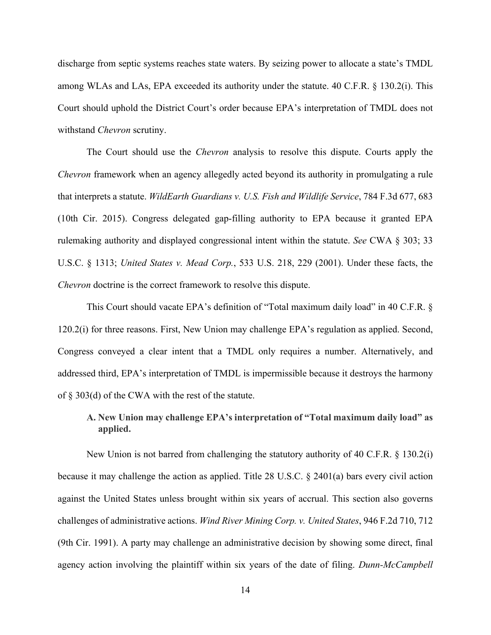discharge from septic systems reaches state waters. By seizing power to allocate a state's TMDL among WLAs and LAs, EPA exceeded its authority under the statute. 40 C.F.R. § 130.2(i). This Court should uphold the District Court's order because EPA's interpretation of TMDL does not withstand *Chevron* scrutiny.

The Court should use the *Chevron* analysis to resolve this dispute. Courts apply the *Chevron* framework when an agency allegedly acted beyond its authority in promulgating a rule that interprets a statute. *WildEarth Guardians v. U.S. Fish and Wildlife Service*, 784 F.3d 677, 683 (10th Cir. 2015). Congress delegated gap-filling authority to EPA because it granted EPA rulemaking authority and displayed congressional intent within the statute. *See* CWA § 303; 33 U.S.C. § 1313; *United States v. Mead Corp.*, 533 U.S. 218, 229 (2001). Under these facts, the *Chevron* doctrine is the correct framework to resolve this dispute.

This Court should vacate EPA's definition of "Total maximum daily load" in 40 C.F.R. § 120.2(i) for three reasons. First, New Union may challenge EPA's regulation as applied. Second, Congress conveyed a clear intent that a TMDL only requires a number. Alternatively, and addressed third, EPA's interpretation of TMDL is impermissible because it destroys the harmony of § 303(d) of the CWA with the rest of the statute.

# **A. New Union may challenge EPA's interpretation of "Total maximum daily load" as applied.**

New Union is not barred from challenging the statutory authority of 40 C.F.R. § 130.2(i) because it may challenge the action as applied. Title 28 U.S.C. § 2401(a) bars every civil action against the United States unless brought within six years of accrual. This section also governs challenges of administrative actions. *Wind River Mining Corp. v. United States*, 946 F.2d 710, 712 (9th Cir. 1991). A party may challenge an administrative decision by showing some direct, final agency action involving the plaintiff within six years of the date of filing. *Dunn-McCampbell*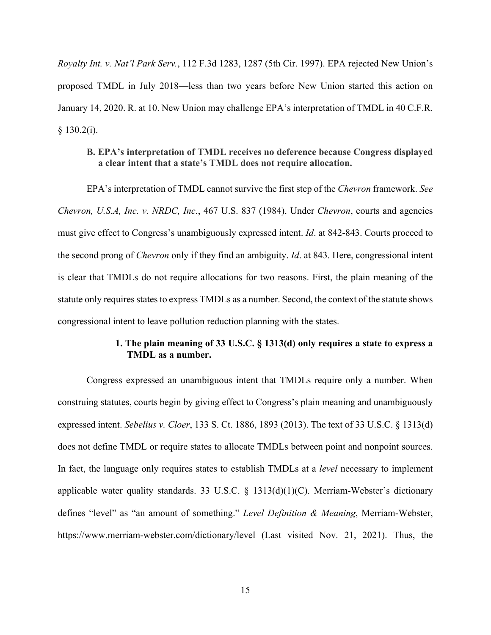*Royalty Int. v. Nat'l Park Serv.*, 112 F.3d 1283, 1287 (5th Cir. 1997). EPA rejected New Union's proposed TMDL in July 2018—less than two years before New Union started this action on January 14, 2020. R. at 10. New Union may challenge EPA's interpretation of TMDL in 40 C.F.R.  $§$  130.2(i).

### **B. EPA's interpretation of TMDL receives no deference because Congress displayed a clear intent that a state's TMDL does not require allocation.**

EPA's interpretation of TMDL cannot survive the first step of the *Chevron* framework. *See Chevron, U.S.A, Inc. v. NRDC, Inc.*, 467 U.S. 837 (1984). Under *Chevron*, courts and agencies must give effect to Congress's unambiguously expressed intent. *Id*. at 842-843. Courts proceed to the second prong of *Chevron* only if they find an ambiguity. *Id*. at 843. Here, congressional intent is clear that TMDLs do not require allocations for two reasons. First, the plain meaning of the statute only requires states to express TMDLs as a number. Second, the context of the statute shows congressional intent to leave pollution reduction planning with the states.

### **1. The plain meaning of 33 U.S.C. § 1313(d) only requires a state to express a TMDL as a number.**

Congress expressed an unambiguous intent that TMDLs require only a number. When construing statutes, courts begin by giving effect to Congress's plain meaning and unambiguously expressed intent. *Sebelius v. Cloer*, 133 S. Ct. 1886, 1893 (2013). The text of 33 U.S.C. § 1313(d) does not define TMDL or require states to allocate TMDLs between point and nonpoint sources. In fact, the language only requires states to establish TMDLs at a *level* necessary to implement applicable water quality standards. 33 U.S.C. § 1313(d)(1)(C). Merriam-Webster's dictionary defines "level" as "an amount of something." *Level Definition & Meaning*, Merriam-Webster, https://www.merriam-webster.com/dictionary/level (Last visited Nov. 21, 2021). Thus, the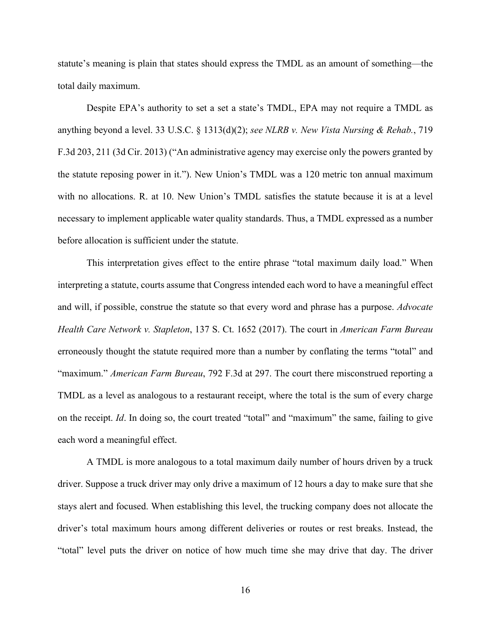statute's meaning is plain that states should express the TMDL as an amount of something—the total daily maximum.

Despite EPA's authority to set a set a state's TMDL, EPA may not require a TMDL as anything beyond a level. 33 U.S.C. § 1313(d)(2); *see NLRB v. New Vista Nursing & Rehab.*, 719 F.3d 203, 211 (3d Cir. 2013) ("An administrative agency may exercise only the powers granted by the statute reposing power in it."). New Union's TMDL was a 120 metric ton annual maximum with no allocations. R. at 10. New Union's TMDL satisfies the statute because it is at a level necessary to implement applicable water quality standards. Thus, a TMDL expressed as a number before allocation is sufficient under the statute.

This interpretation gives effect to the entire phrase "total maximum daily load." When interpreting a statute, courts assume that Congress intended each word to have a meaningful effect and will, if possible, construe the statute so that every word and phrase has a purpose. *Advocate Health Care Network v. Stapleton*, 137 S. Ct. 1652 (2017). The court in *American Farm Bureau* erroneously thought the statute required more than a number by conflating the terms "total" and "maximum." *American Farm Bureau*, 792 F.3d at 297. The court there misconstrued reporting a TMDL as a level as analogous to a restaurant receipt, where the total is the sum of every charge on the receipt. *Id*. In doing so, the court treated "total" and "maximum" the same, failing to give each word a meaningful effect.

A TMDL is more analogous to a total maximum daily number of hours driven by a truck driver. Suppose a truck driver may only drive a maximum of 12 hours a day to make sure that she stays alert and focused. When establishing this level, the trucking company does not allocate the driver's total maximum hours among different deliveries or routes or rest breaks. Instead, the "total" level puts the driver on notice of how much time she may drive that day. The driver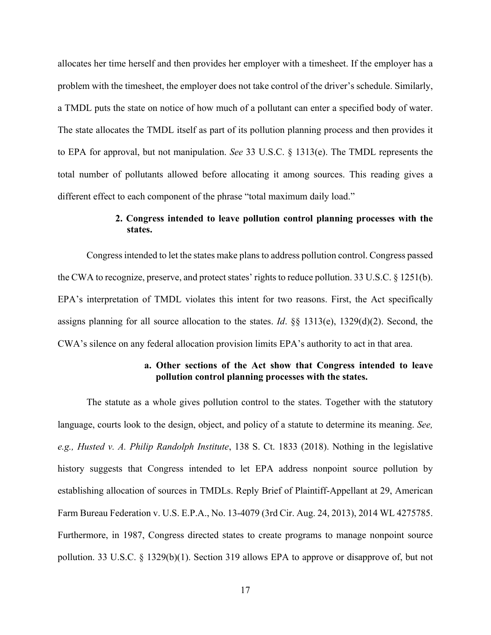allocates her time herself and then provides her employer with a timesheet. If the employer has a problem with the timesheet, the employer does not take control of the driver's schedule. Similarly, a TMDL puts the state on notice of how much of a pollutant can enter a specified body of water. The state allocates the TMDL itself as part of its pollution planning process and then provides it to EPA for approval, but not manipulation. *See* 33 U.S.C. § 1313(e). The TMDL represents the total number of pollutants allowed before allocating it among sources. This reading gives a different effect to each component of the phrase "total maximum daily load."

## **2. Congress intended to leave pollution control planning processes with the states.**

Congress intended to let the states make plans to address pollution control. Congress passed the CWA to recognize, preserve, and protect states' rights to reduce pollution. 33 U.S.C. § 1251(b). EPA's interpretation of TMDL violates this intent for two reasons. First, the Act specifically assigns planning for all source allocation to the states. *Id*. §§ 1313(e), 1329(d)(2). Second, the CWA's silence on any federal allocation provision limits EPA's authority to act in that area.

### **a. Other sections of the Act show that Congress intended to leave pollution control planning processes with the states.**

The statute as a whole gives pollution control to the states. Together with the statutory language, courts look to the design, object, and policy of a statute to determine its meaning. *See, e.g., Husted v. A. Philip Randolph Institute*, 138 S. Ct. 1833 (2018). Nothing in the legislative history suggests that Congress intended to let EPA address nonpoint source pollution by establishing allocation of sources in TMDLs. Reply Brief of Plaintiff-Appellant at 29, American Farm Bureau Federation v. U.S. E.P.A., No. 13-4079 (3rd Cir. Aug. 24, 2013), 2014 WL 4275785. Furthermore, in 1987, Congress directed states to create programs to manage nonpoint source pollution. 33 U.S.C. § 1329(b)(1). Section 319 allows EPA to approve or disapprove of, but not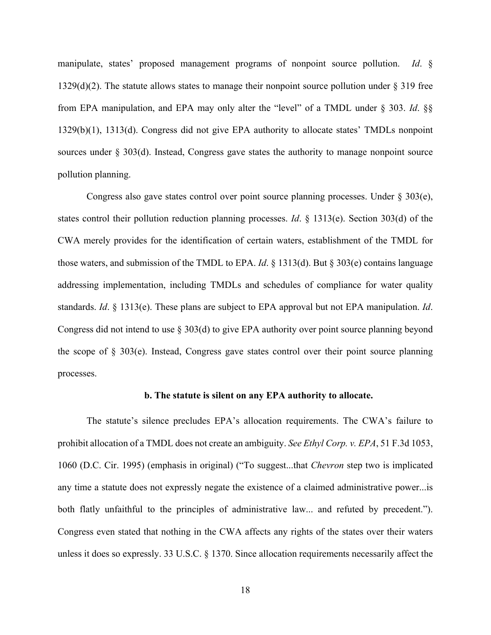manipulate, states' proposed management programs of nonpoint source pollution. *Id*. § 1329(d)(2). The statute allows states to manage their nonpoint source pollution under  $\S 319$  free from EPA manipulation, and EPA may only alter the "level" of a TMDL under § 303. *Id*. §§ 1329(b)(1), 1313(d). Congress did not give EPA authority to allocate states' TMDLs nonpoint sources under  $\S 303(d)$ . Instead, Congress gave states the authority to manage nonpoint source pollution planning.

Congress also gave states control over point source planning processes. Under  $\S 303(e)$ , states control their pollution reduction planning processes. *Id*. § 1313(e). Section 303(d) of the CWA merely provides for the identification of certain waters, establishment of the TMDL for those waters, and submission of the TMDL to EPA. *Id*. § 1313(d). But § 303(e) contains language addressing implementation, including TMDLs and schedules of compliance for water quality standards. *Id*. § 1313(e). These plans are subject to EPA approval but not EPA manipulation. *Id*. Congress did not intend to use § 303(d) to give EPA authority over point source planning beyond the scope of  $\S$  303(e). Instead, Congress gave states control over their point source planning processes.

#### **b. The statute is silent on any EPA authority to allocate.**

The statute's silence precludes EPA's allocation requirements. The CWA's failure to prohibit allocation of a TMDL does not create an ambiguity. *See Ethyl Corp. v. EPA*, 51 F.3d 1053, 1060 (D.C. Cir. 1995) (emphasis in original) ("To suggest...that *Chevron* step two is implicated any time a statute does not expressly negate the existence of a claimed administrative power...is both flatly unfaithful to the principles of administrative law... and refuted by precedent."). Congress even stated that nothing in the CWA affects any rights of the states over their waters unless it does so expressly. 33 U.S.C. § 1370. Since allocation requirements necessarily affect the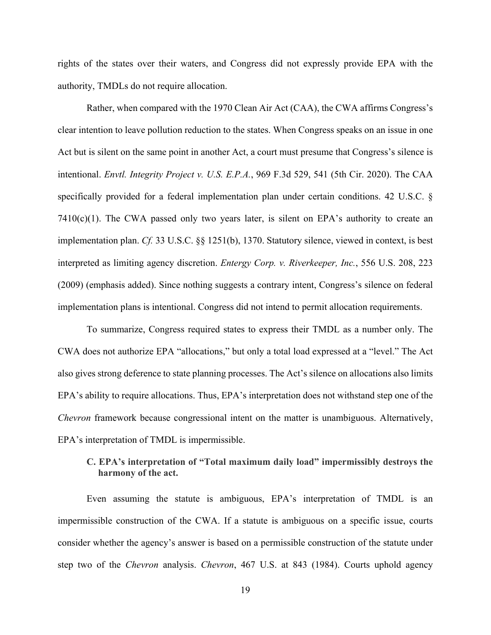rights of the states over their waters, and Congress did not expressly provide EPA with the authority, TMDLs do not require allocation.

Rather, when compared with the 1970 Clean Air Act (CAA), the CWA affirms Congress's clear intention to leave pollution reduction to the states. When Congress speaks on an issue in one Act but is silent on the same point in another Act, a court must presume that Congress's silence is intentional. *Envtl. Integrity Project v. U.S. E.P.A.*, 969 F.3d 529, 541 (5th Cir. 2020). The CAA specifically provided for a federal implementation plan under certain conditions. 42 U.S.C. §  $7410(c)(1)$ . The CWA passed only two years later, is silent on EPA's authority to create an implementation plan. *Cf.* 33 U.S.C. §§ 1251(b), 1370. Statutory silence, viewed in context, is best interpreted as limiting agency discretion. *Entergy Corp. v. Riverkeeper, Inc.*, 556 U.S. 208, 223 (2009) (emphasis added). Since nothing suggests a contrary intent, Congress's silence on federal implementation plans is intentional. Congress did not intend to permit allocation requirements.

To summarize, Congress required states to express their TMDL as a number only. The CWA does not authorize EPA "allocations," but only a total load expressed at a "level." The Act also gives strong deference to state planning processes. The Act's silence on allocations also limits EPA's ability to require allocations. Thus, EPA's interpretation does not withstand step one of the *Chevron* framework because congressional intent on the matter is unambiguous. Alternatively, EPA's interpretation of TMDL is impermissible.

### **C. EPA's interpretation of "Total maximum daily load" impermissibly destroys the harmony of the act.**

Even assuming the statute is ambiguous, EPA's interpretation of TMDL is an impermissible construction of the CWA. If a statute is ambiguous on a specific issue, courts consider whether the agency's answer is based on a permissible construction of the statute under step two of the *Chevron* analysis. *Chevron*, 467 U.S. at 843 (1984). Courts uphold agency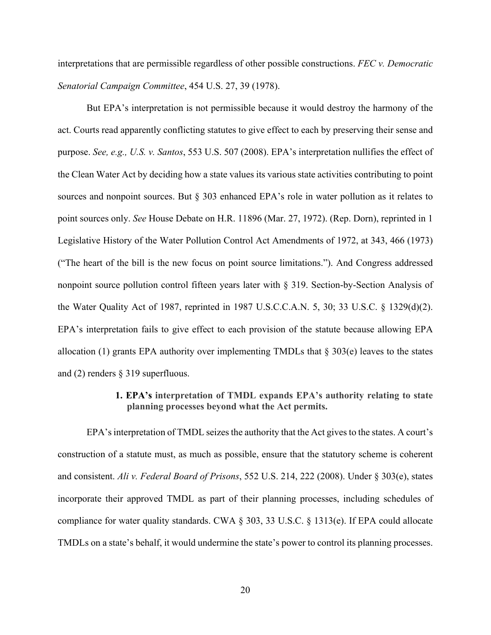interpretations that are permissible regardless of other possible constructions. *FEC v. Democratic Senatorial Campaign Committee*, 454 U.S. 27, 39 (1978).

But EPA's interpretation is not permissible because it would destroy the harmony of the act. Courts read apparently conflicting statutes to give effect to each by preserving their sense and purpose. *See, e.g., U.S. v. Santos*, 553 U.S. 507 (2008). EPA's interpretation nullifies the effect of the Clean Water Act by deciding how a state values its various state activities contributing to point sources and nonpoint sources. But § 303 enhanced EPA's role in water pollution as it relates to point sources only. *See* House Debate on H.R. 11896 (Mar. 27, 1972). (Rep. Dorn), reprinted in 1 Legislative History of the Water Pollution Control Act Amendments of 1972, at 343, 466 (1973) ("The heart of the bill is the new focus on point source limitations."). And Congress addressed nonpoint source pollution control fifteen years later with § 319. Section-by-Section Analysis of the Water Quality Act of 1987, reprinted in 1987 U.S.C.C.A.N. 5, 30; 33 U.S.C. § 1329(d)(2). EPA's interpretation fails to give effect to each provision of the statute because allowing EPA allocation (1) grants EPA authority over implementing TMDLs that  $\S 303(e)$  leaves to the states and (2) renders § 319 superfluous.

#### **1. EPA's interpretation of TMDL expands EPA's authority relating to state planning processes beyond what the Act permits.**

EPA's interpretation of TMDL seizes the authority that the Act gives to the states. A court's construction of a statute must, as much as possible, ensure that the statutory scheme is coherent and consistent. *Ali v. Federal Board of Prisons*, 552 U.S. 214, 222 (2008). Under § 303(e), states incorporate their approved TMDL as part of their planning processes, including schedules of compliance for water quality standards. CWA § 303, 33 U.S.C. § 1313(e). If EPA could allocate TMDLs on a state's behalf, it would undermine the state's power to control its planning processes.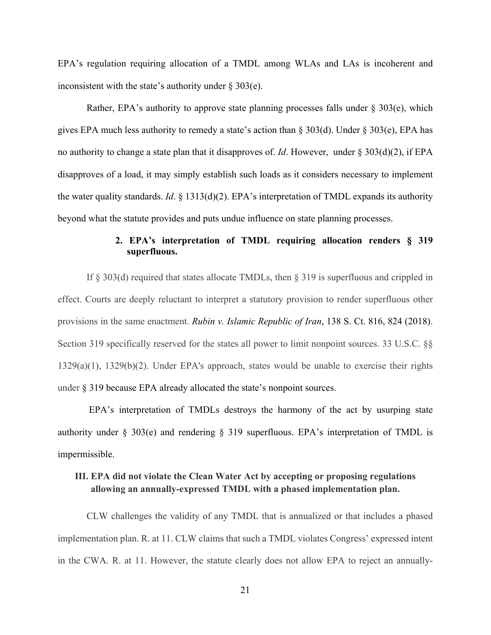EPA's regulation requiring allocation of a TMDL among WLAs and LAs is incoherent and inconsistent with the state's authority under  $\S 303(e)$ .

Rather, EPA's authority to approve state planning processes falls under  $\S 303(e)$ , which gives EPA much less authority to remedy a state's action than § 303(d). Under § 303(e), EPA has no authority to change a state plan that it disapproves of. *Id*. However, under § 303(d)(2), if EPA disapproves of a load, it may simply establish such loads as it considers necessary to implement the water quality standards. *Id*. § 1313(d)(2). EPA's interpretation of TMDL expands its authority beyond what the statute provides and puts undue influence on state planning processes.

### **2. EPA's interpretation of TMDL requiring allocation renders § 319 superfluous.**

If § 303(d) required that states allocate TMDLs, then § 319 is superfluous and crippled in effect. Courts are deeply reluctant to interpret a statutory provision to render superfluous other provisions in the same enactment. *Rubin v. Islamic Republic of Iran*, 138 S. Ct. 816, 824 (2018). Section 319 specifically reserved for the states all power to limit nonpoint sources. 33 U.S.C. §§ 1329(a)(1), 1329(b)(2). Under EPA's approach, states would be unable to exercise their rights under § 319 because EPA already allocated the state's nonpoint sources.

EPA's interpretation of TMDLs destroys the harmony of the act by usurping state authority under § 303(e) and rendering § 319 superfluous. EPA's interpretation of TMDL is impermissible.

# **III. EPA did not violate the Clean Water Act by accepting or proposing regulations allowing an annually-expressed TMDL with a phased implementation plan.**

CLW challenges the validity of any TMDL that is annualized or that includes a phased implementation plan. R. at 11. CLW claims that such a TMDL violates Congress' expressed intent in the CWA. R. at 11. However, the statute clearly does not allow EPA to reject an annually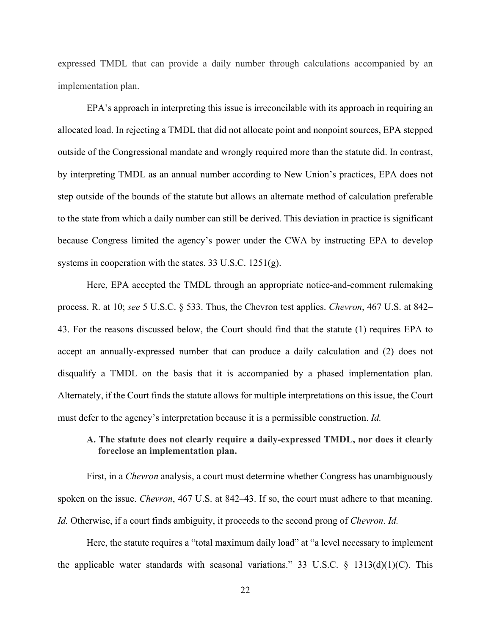expressed TMDL that can provide a daily number through calculations accompanied by an implementation plan.

EPA's approach in interpreting this issue is irreconcilable with its approach in requiring an allocated load. In rejecting a TMDL that did not allocate point and nonpoint sources, EPA stepped outside of the Congressional mandate and wrongly required more than the statute did. In contrast, by interpreting TMDL as an annual number according to New Union's practices, EPA does not step outside of the bounds of the statute but allows an alternate method of calculation preferable to the state from which a daily number can still be derived. This deviation in practice is significant because Congress limited the agency's power under the CWA by instructing EPA to develop systems in cooperation with the states. 33 U.S.C. 1251(g).

Here, EPA accepted the TMDL through an appropriate notice-and-comment rulemaking process. R. at 10; *see* 5 U.S.C. § 533. Thus, the Chevron test applies. *Chevron*, 467 U.S. at 842– 43. For the reasons discussed below, the Court should find that the statute (1) requires EPA to accept an annually-expressed number that can produce a daily calculation and (2) does not disqualify a TMDL on the basis that it is accompanied by a phased implementation plan. Alternately, if the Court finds the statute allows for multiple interpretations on this issue, the Court must defer to the agency's interpretation because it is a permissible construction. *Id.*

### **A. The statute does not clearly require a daily-expressed TMDL, nor does it clearly foreclose an implementation plan.**

First, in a *Chevron* analysis, a court must determine whether Congress has unambiguously spoken on the issue. *Chevron*, 467 U.S. at 842–43. If so, the court must adhere to that meaning. *Id.* Otherwise, if a court finds ambiguity, it proceeds to the second prong of *Chevron*. *Id.*

Here, the statute requires a "total maximum daily load" at "a level necessary to implement the applicable water standards with seasonal variations." 33 U.S.C. § 1313(d)(1)(C). This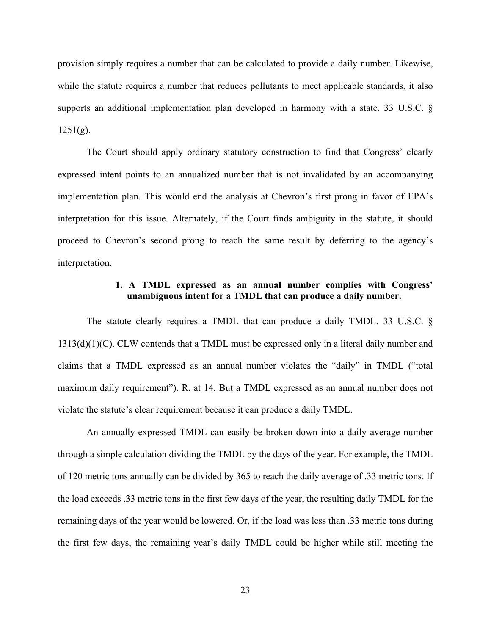provision simply requires a number that can be calculated to provide a daily number. Likewise, while the statute requires a number that reduces pollutants to meet applicable standards, it also supports an additional implementation plan developed in harmony with a state. 33 U.S.C. §  $1251(g)$ .

The Court should apply ordinary statutory construction to find that Congress' clearly expressed intent points to an annualized number that is not invalidated by an accompanying implementation plan. This would end the analysis at Chevron's first prong in favor of EPA's interpretation for this issue. Alternately, if the Court finds ambiguity in the statute, it should proceed to Chevron's second prong to reach the same result by deferring to the agency's interpretation.

#### **1. A TMDL expressed as an annual number complies with Congress' unambiguous intent for a TMDL that can produce a daily number.**

The statute clearly requires a TMDL that can produce a daily TMDL. 33 U.S.C. § 1313(d)(1)(C). CLW contends that a TMDL must be expressed only in a literal daily number and claims that a TMDL expressed as an annual number violates the "daily" in TMDL ("total maximum daily requirement"). R. at 14. But a TMDL expressed as an annual number does not violate the statute's clear requirement because it can produce a daily TMDL.

An annually-expressed TMDL can easily be broken down into a daily average number through a simple calculation dividing the TMDL by the days of the year. For example, the TMDL of 120 metric tons annually can be divided by 365 to reach the daily average of .33 metric tons. If the load exceeds .33 metric tons in the first few days of the year, the resulting daily TMDL for the remaining days of the year would be lowered. Or, if the load was less than .33 metric tons during the first few days, the remaining year's daily TMDL could be higher while still meeting the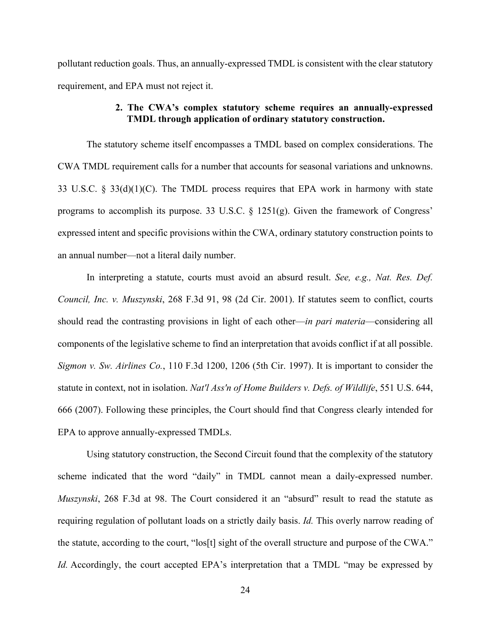pollutant reduction goals. Thus, an annually-expressed TMDL is consistent with the clear statutory requirement, and EPA must not reject it.

# **2. The CWA's complex statutory scheme requires an annually-expressed TMDL through application of ordinary statutory construction.**

The statutory scheme itself encompasses a TMDL based on complex considerations. The CWA TMDL requirement calls for a number that accounts for seasonal variations and unknowns. 33 U.S.C. § 33(d)(1)(C). The TMDL process requires that EPA work in harmony with state programs to accomplish its purpose. 33 U.S.C. § 1251(g). Given the framework of Congress' expressed intent and specific provisions within the CWA, ordinary statutory construction points to an annual number—not a literal daily number.

In interpreting a statute, courts must avoid an absurd result. *See, e.g., Nat. Res. Def. Council, Inc. v. Muszynski*, 268 F.3d 91, 98 (2d Cir. 2001). If statutes seem to conflict, courts should read the contrasting provisions in light of each other—*in pari materia*—considering all components of the legislative scheme to find an interpretation that avoids conflict if at all possible. *Sigmon v. Sw. Airlines Co.*, 110 F.3d 1200, 1206 (5th Cir. 1997). It is important to consider the statute in context, not in isolation. *Nat'l Ass'n of Home Builders v. Defs. of Wildlife*, 551 U.S. 644, 666 (2007). Following these principles, the Court should find that Congress clearly intended for EPA to approve annually-expressed TMDLs.

Using statutory construction, the Second Circuit found that the complexity of the statutory scheme indicated that the word "daily" in TMDL cannot mean a daily-expressed number. *Muszynski*, 268 F.3d at 98. The Court considered it an "absurd" result to read the statute as requiring regulation of pollutant loads on a strictly daily basis. *Id.* This overly narrow reading of the statute, according to the court, "los[t] sight of the overall structure and purpose of the CWA." *Id.* Accordingly, the court accepted EPA's interpretation that a TMDL "may be expressed by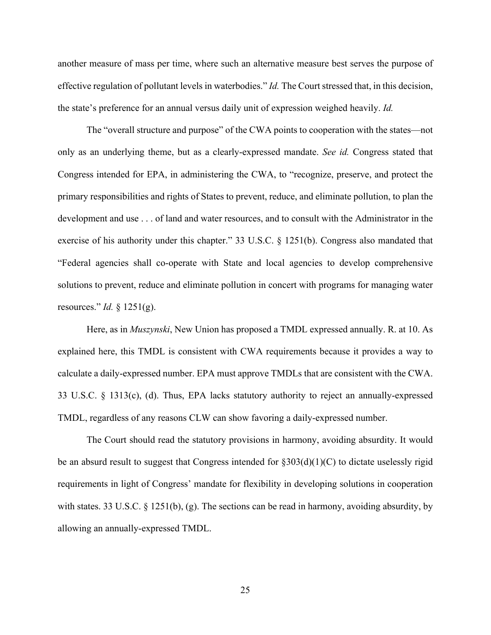another measure of mass per time, where such an alternative measure best serves the purpose of effective regulation of pollutant levels in waterbodies." *Id.* The Court stressed that, in this decision, the state's preference for an annual versus daily unit of expression weighed heavily. *Id.*

The "overall structure and purpose" of the CWA points to cooperation with the states—not only as an underlying theme, but as a clearly-expressed mandate. *See id.* Congress stated that Congress intended for EPA, in administering the CWA, to "recognize, preserve, and protect the primary responsibilities and rights of States to prevent, reduce, and eliminate pollution, to plan the development and use . . . of land and water resources, and to consult with the Administrator in the exercise of his authority under this chapter." 33 U.S.C. § 1251(b). Congress also mandated that "Federal agencies shall co-operate with State and local agencies to develop comprehensive solutions to prevent, reduce and eliminate pollution in concert with programs for managing water resources." *Id.* § 1251(g).

Here, as in *Muszynski*, New Union has proposed a TMDL expressed annually. R. at 10. As explained here, this TMDL is consistent with CWA requirements because it provides a way to calculate a daily-expressed number. EPA must approve TMDLs that are consistent with the CWA. 33 U.S.C. § 1313(c), (d). Thus, EPA lacks statutory authority to reject an annually-expressed TMDL, regardless of any reasons CLW can show favoring a daily-expressed number.

The Court should read the statutory provisions in harmony, avoiding absurdity. It would be an absurd result to suggest that Congress intended for  $\S 303(d)(1)(C)$  to dictate uselessly rigid requirements in light of Congress' mandate for flexibility in developing solutions in cooperation with states. 33 U.S.C. § 1251(b), (g). The sections can be read in harmony, avoiding absurdity, by allowing an annually-expressed TMDL.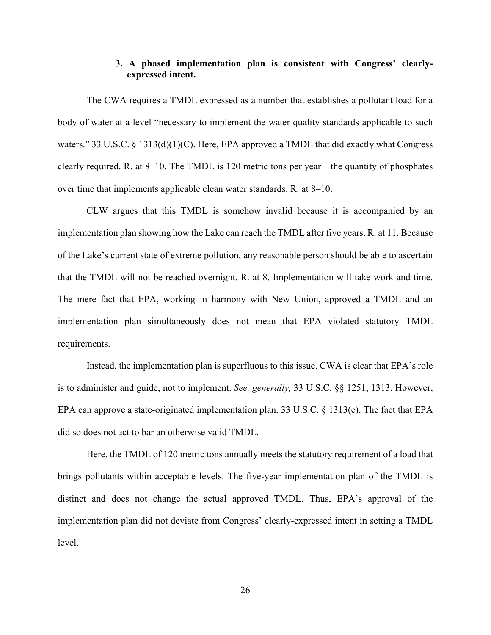#### **3. A phased implementation plan is consistent with Congress' clearlyexpressed intent.**

The CWA requires a TMDL expressed as a number that establishes a pollutant load for a body of water at a level "necessary to implement the water quality standards applicable to such waters." 33 U.S.C.  $\S$  1313(d)(1)(C). Here, EPA approved a TMDL that did exactly what Congress clearly required. R. at 8–10. The TMDL is 120 metric tons per year—the quantity of phosphates over time that implements applicable clean water standards. R. at 8–10.

CLW argues that this TMDL is somehow invalid because it is accompanied by an implementation plan showing how the Lake can reach the TMDL after five years. R. at 11. Because of the Lake's current state of extreme pollution, any reasonable person should be able to ascertain that the TMDL will not be reached overnight. R. at 8. Implementation will take work and time. The mere fact that EPA, working in harmony with New Union, approved a TMDL and an implementation plan simultaneously does not mean that EPA violated statutory TMDL requirements.

Instead, the implementation plan is superfluous to this issue. CWA is clear that EPA's role is to administer and guide, not to implement. *See, generally,* 33 U.S.C. §§ 1251, 1313. However, EPA can approve a state-originated implementation plan. 33 U.S.C. § 1313(e). The fact that EPA did so does not act to bar an otherwise valid TMDL.

Here, the TMDL of 120 metric tons annually meets the statutory requirement of a load that brings pollutants within acceptable levels. The five-year implementation plan of the TMDL is distinct and does not change the actual approved TMDL. Thus, EPA's approval of the implementation plan did not deviate from Congress' clearly-expressed intent in setting a TMDL level.

26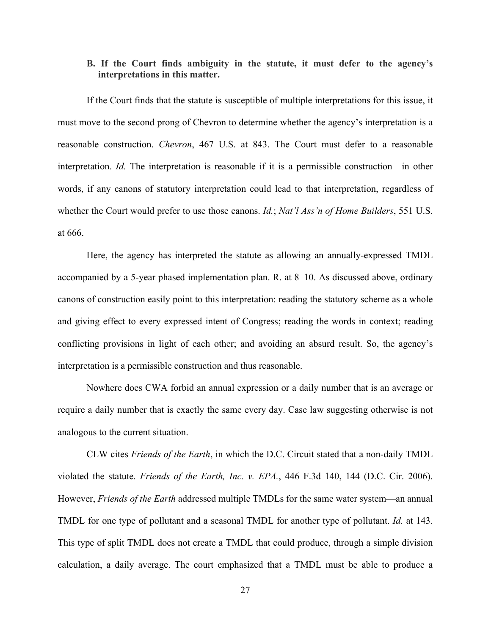#### **B. If the Court finds ambiguity in the statute, it must defer to the agency's interpretations in this matter.**

If the Court finds that the statute is susceptible of multiple interpretations for this issue, it must move to the second prong of Chevron to determine whether the agency's interpretation is a reasonable construction. *Chevron*, 467 U.S. at 843. The Court must defer to a reasonable interpretation. *Id.* The interpretation is reasonable if it is a permissible construction—in other words, if any canons of statutory interpretation could lead to that interpretation, regardless of whether the Court would prefer to use those canons. *Id.*; *Nat'l Ass'n of Home Builders*, 551 U.S. at 666.

Here, the agency has interpreted the statute as allowing an annually-expressed TMDL accompanied by a 5-year phased implementation plan. R. at 8–10. As discussed above, ordinary canons of construction easily point to this interpretation: reading the statutory scheme as a whole and giving effect to every expressed intent of Congress; reading the words in context; reading conflicting provisions in light of each other; and avoiding an absurd result. So, the agency's interpretation is a permissible construction and thus reasonable.

Nowhere does CWA forbid an annual expression or a daily number that is an average or require a daily number that is exactly the same every day. Case law suggesting otherwise is not analogous to the current situation.

CLW cites *Friends of the Earth*, in which the D.C. Circuit stated that a non-daily TMDL violated the statute. *Friends of the Earth, Inc. v. EPA.*, 446 F.3d 140, 144 (D.C. Cir. 2006). However, *Friends of the Earth* addressed multiple TMDLs for the same water system—an annual TMDL for one type of pollutant and a seasonal TMDL for another type of pollutant. *Id.* at 143. This type of split TMDL does not create a TMDL that could produce, through a simple division calculation, a daily average. The court emphasized that a TMDL must be able to produce a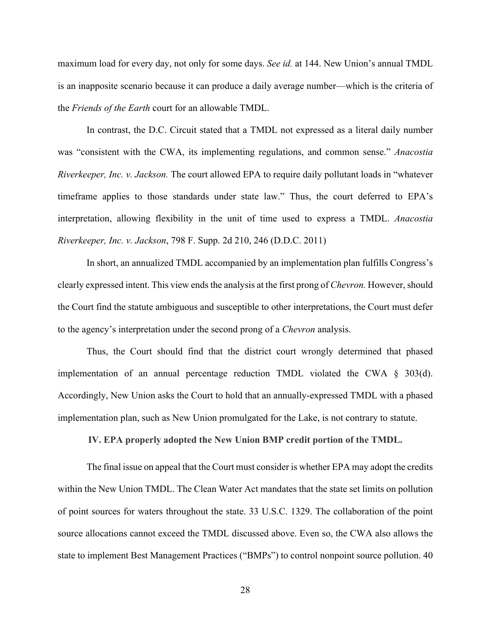maximum load for every day, not only for some days. *See id.* at 144. New Union's annual TMDL is an inapposite scenario because it can produce a daily average number—which is the criteria of the *Friends of the Earth* court for an allowable TMDL.

In contrast, the D.C. Circuit stated that a TMDL not expressed as a literal daily number was "consistent with the CWA, its implementing regulations, and common sense." *Anacostia Riverkeeper, Inc. v. Jackson.* The court allowed EPA to require daily pollutant loads in "whatever timeframe applies to those standards under state law." Thus, the court deferred to EPA's interpretation, allowing flexibility in the unit of time used to express a TMDL. *Anacostia Riverkeeper, Inc. v. Jackson*, 798 F. Supp. 2d 210, 246 (D.D.C. 2011)

In short, an annualized TMDL accompanied by an implementation plan fulfills Congress's clearly expressed intent. This view ends the analysis at the first prong of *Chevron.* However, should the Court find the statute ambiguous and susceptible to other interpretations, the Court must defer to the agency's interpretation under the second prong of a *Chevron* analysis.

Thus, the Court should find that the district court wrongly determined that phased implementation of an annual percentage reduction TMDL violated the CWA  $\S$  303(d). Accordingly, New Union asks the Court to hold that an annually-expressed TMDL with a phased implementation plan, such as New Union promulgated for the Lake, is not contrary to statute.

**IV. EPA properly adopted the New Union BMP credit portion of the TMDL.** 

The final issue on appeal that the Court must consider is whether EPA may adopt the credits within the New Union TMDL. The Clean Water Act mandates that the state set limits on pollution of point sources for waters throughout the state. 33 U.S.C. 1329. The collaboration of the point source allocations cannot exceed the TMDL discussed above. Even so, the CWA also allows the state to implement Best Management Practices ("BMPs") to control nonpoint source pollution. 40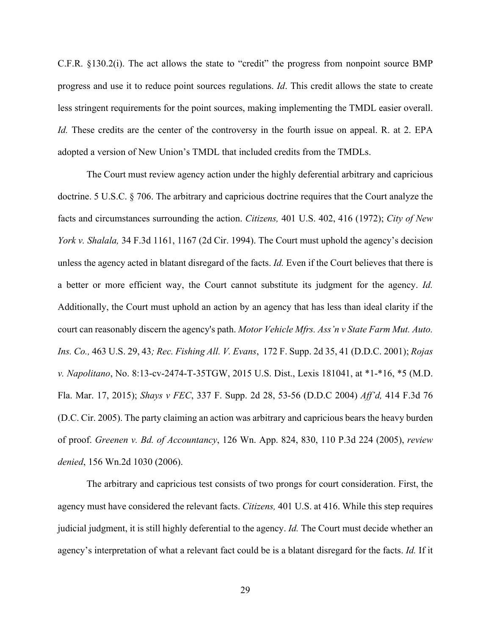C.F.R. §130.2(i). The act allows the state to "credit" the progress from nonpoint source BMP progress and use it to reduce point sources regulations. *Id*. This credit allows the state to create less stringent requirements for the point sources, making implementing the TMDL easier overall. *Id.* These credits are the center of the controversy in the fourth issue on appeal. R. at 2. EPA adopted a version of New Union's TMDL that included credits from the TMDLs.

The Court must review agency action under the highly deferential arbitrary and capricious doctrine. 5 U.S.C. § 706. The arbitrary and capricious doctrine requires that the Court analyze the facts and circumstances surrounding the action. *Citizens,* 401 U.S. 402, 416 (1972); *City of New York v. Shalala,* 34 F.3d 1161, 1167 (2d Cir. 1994). The Court must uphold the agency's decision unless the agency acted in blatant disregard of the facts. *Id.* Even if the Court believes that there is a better or more efficient way, the Court cannot substitute its judgment for the agency. *Id.* Additionally, the Court must uphold an action by an agency that has less than ideal clarity if the court can reasonably discern the agency's path. *Motor Vehicle Mfrs. Ass'n v State Farm Mut. Auto. Ins. Co.,* 463 U.S. 29, 43*; Rec. Fishing All. V. Evans*, 172 F. Supp. 2d 35, 41 (D.D.C. 2001); *Rojas v. Napolitano*, No. 8:13-cv-2474-T-35TGW, 2015 U.S. Dist., Lexis 181041, at \*1-\*16, \*5 (M.D. Fla. Mar. 17, 2015); *Shays v FEC*, 337 F. Supp. 2d 28, 53-56 (D.D.C 2004) *Aff'd,* 414 F.3d 76 (D.C. Cir. 2005). The party claiming an action was arbitrary and capricious bears the heavy burden of proof. *Greenen v. Bd. of Accountancy*, 126 Wn. App. 824, 830, 110 P.3d 224 (2005), *review denied*, 156 Wn.2d 1030 (2006).

The arbitrary and capricious test consists of two prongs for court consideration. First, the agency must have considered the relevant facts. *Citizens,* 401 U.S. at 416. While this step requires judicial judgment, it is still highly deferential to the agency. *Id.* The Court must decide whether an agency's interpretation of what a relevant fact could be is a blatant disregard for the facts. *Id.* If it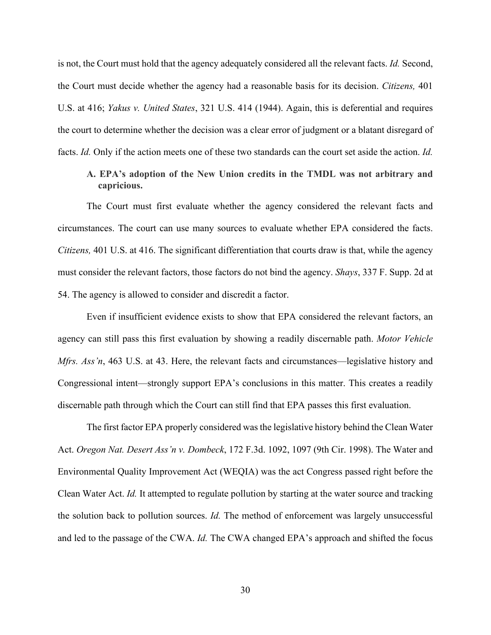is not, the Court must hold that the agency adequately considered all the relevant facts. *Id.* Second, the Court must decide whether the agency had a reasonable basis for its decision. *Citizens,* 401 U.S. at 416; *Yakus v. United States*, 321 U.S. 414 (1944). Again, this is deferential and requires the court to determine whether the decision was a clear error of judgment or a blatant disregard of facts. *Id.* Only if the action meets one of these two standards can the court set aside the action. *Id.*

### **A. EPA's adoption of the New Union credits in the TMDL was not arbitrary and capricious.**

The Court must first evaluate whether the agency considered the relevant facts and circumstances. The court can use many sources to evaluate whether EPA considered the facts. *Citizens,* 401 U.S. at 416. The significant differentiation that courts draw is that, while the agency must consider the relevant factors, those factors do not bind the agency. *Shays*, 337 F. Supp. 2d at 54. The agency is allowed to consider and discredit a factor.

Even if insufficient evidence exists to show that EPA considered the relevant factors, an agency can still pass this first evaluation by showing a readily discernable path. *Motor Vehicle Mfrs. Ass'n*, 463 U.S. at 43. Here, the relevant facts and circumstances—legislative history and Congressional intent—strongly support EPA's conclusions in this matter. This creates a readily discernable path through which the Court can still find that EPA passes this first evaluation.

The first factor EPA properly considered was the legislative history behind the Clean Water Act. *Oregon Nat. Desert Ass'n v. Dombeck*, 172 F.3d. 1092, 1097 (9th Cir. 1998). The Water and Environmental Quality Improvement Act (WEQIA) was the act Congress passed right before the Clean Water Act. *Id.* It attempted to regulate pollution by starting at the water source and tracking the solution back to pollution sources. *Id.* The method of enforcement was largely unsuccessful and led to the passage of the CWA. *Id.* The CWA changed EPA's approach and shifted the focus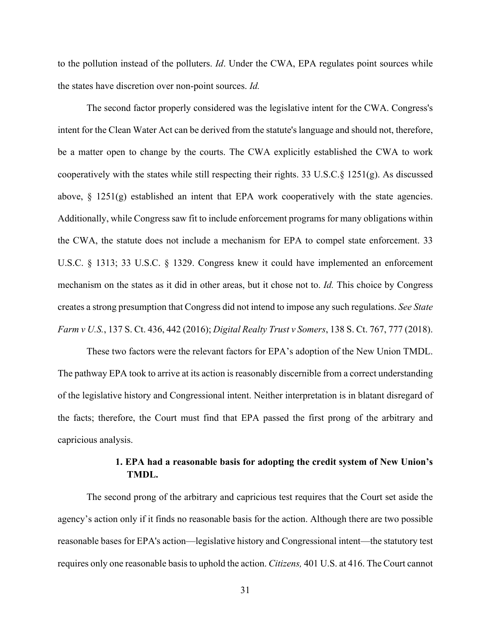to the pollution instead of the polluters. *Id*. Under the CWA, EPA regulates point sources while the states have discretion over non-point sources. *Id.*

The second factor properly considered was the legislative intent for the CWA. Congress's intent for the Clean Water Act can be derived from the statute's language and should not, therefore, be a matter open to change by the courts. The CWA explicitly established the CWA to work cooperatively with the states while still respecting their rights. 33 U.S.C.§ 1251(g). As discussed above,  $\S$  1251(g) established an intent that EPA work cooperatively with the state agencies. Additionally, while Congress saw fit to include enforcement programs for many obligations within the CWA, the statute does not include a mechanism for EPA to compel state enforcement. 33 U.S.C. § 1313; 33 U.S.C. § 1329. Congress knew it could have implemented an enforcement mechanism on the states as it did in other areas, but it chose not to. *Id.* This choice by Congress creates a strong presumption that Congress did not intend to impose any such regulations. *See State Farm v U.S.*, 137 S. Ct. 436, 442 (2016); *Digital Realty Trust v Somers*, 138 S. Ct. 767, 777 (2018).

These two factors were the relevant factors for EPA's adoption of the New Union TMDL. The pathway EPA took to arrive at its action is reasonably discernible from a correct understanding of the legislative history and Congressional intent. Neither interpretation is in blatant disregard of the facts; therefore, the Court must find that EPA passed the first prong of the arbitrary and capricious analysis.

# **1. EPA had a reasonable basis for adopting the credit system of New Union's TMDL.**

The second prong of the arbitrary and capricious test requires that the Court set aside the agency's action only if it finds no reasonable basis for the action. Although there are two possible reasonable bases for EPA's action—legislative history and Congressional intent—the statutory test requires only one reasonable basis to uphold the action. *Citizens,* 401 U.S. at 416. The Court cannot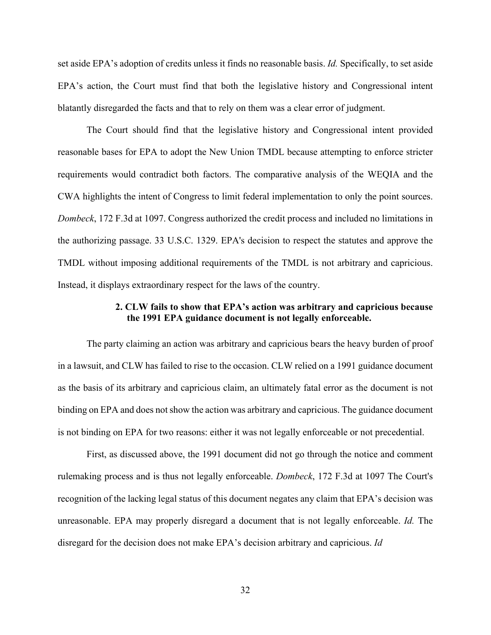set aside EPA's adoption of credits unless it finds no reasonable basis. *Id.* Specifically, to set aside EPA's action, the Court must find that both the legislative history and Congressional intent blatantly disregarded the facts and that to rely on them was a clear error of judgment.

The Court should find that the legislative history and Congressional intent provided reasonable bases for EPA to adopt the New Union TMDL because attempting to enforce stricter requirements would contradict both factors. The comparative analysis of the WEQIA and the CWA highlights the intent of Congress to limit federal implementation to only the point sources. *Dombeck*, 172 F.3d at 1097. Congress authorized the credit process and included no limitations in the authorizing passage. 33 U.S.C. 1329. EPA's decision to respect the statutes and approve the TMDL without imposing additional requirements of the TMDL is not arbitrary and capricious. Instead, it displays extraordinary respect for the laws of the country.

#### **2. CLW fails to show that EPA's action was arbitrary and capricious because the 1991 EPA guidance document is not legally enforceable.**

The party claiming an action was arbitrary and capricious bears the heavy burden of proof in a lawsuit, and CLW has failed to rise to the occasion. CLW relied on a 1991 guidance document as the basis of its arbitrary and capricious claim, an ultimately fatal error as the document is not binding on EPA and does not show the action was arbitrary and capricious. The guidance document is not binding on EPA for two reasons: either it was not legally enforceable or not precedential.

First, as discussed above, the 1991 document did not go through the notice and comment rulemaking process and is thus not legally enforceable. *Dombeck*, 172 F.3d at 1097 The Court's recognition of the lacking legal status of this document negates any claim that EPA's decision was unreasonable. EPA may properly disregard a document that is not legally enforceable. *Id.* The disregard for the decision does not make EPA's decision arbitrary and capricious. *Id*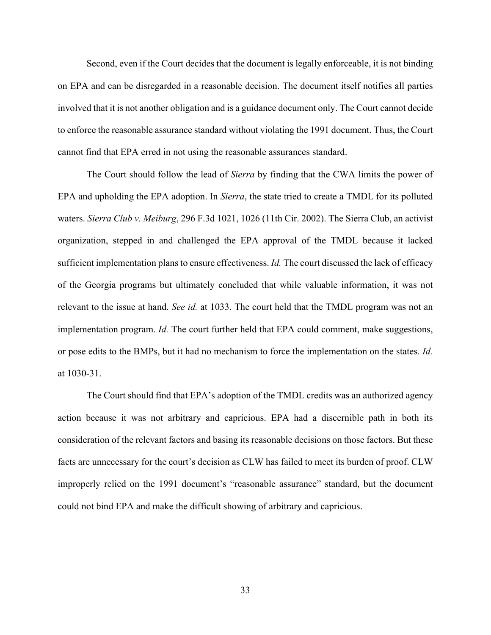Second, even if the Court decides that the document is legally enforceable, it is not binding on EPA and can be disregarded in a reasonable decision. The document itself notifies all parties involved that it is not another obligation and is a guidance document only. The Court cannot decide to enforce the reasonable assurance standard without violating the 1991 document. Thus, the Court cannot find that EPA erred in not using the reasonable assurances standard.

The Court should follow the lead of *Sierra* by finding that the CWA limits the power of EPA and upholding the EPA adoption. In *Sierra*, the state tried to create a TMDL for its polluted waters. *Sierra Club v. Meiburg*, 296 F.3d 1021, 1026 (11th Cir. 2002). The Sierra Club, an activist organization, stepped in and challenged the EPA approval of the TMDL because it lacked sufficient implementation plans to ensure effectiveness. *Id.* The court discussed the lack of efficacy of the Georgia programs but ultimately concluded that while valuable information, it was not relevant to the issue at hand. *See id.* at 1033. The court held that the TMDL program was not an implementation program. *Id.* The court further held that EPA could comment, make suggestions, or pose edits to the BMPs, but it had no mechanism to force the implementation on the states. *Id.*  at 1030-31.

The Court should find that EPA's adoption of the TMDL credits was an authorized agency action because it was not arbitrary and capricious. EPA had a discernible path in both its consideration of the relevant factors and basing its reasonable decisions on those factors. But these facts are unnecessary for the court's decision as CLW has failed to meet its burden of proof. CLW improperly relied on the 1991 document's "reasonable assurance" standard, but the document could not bind EPA and make the difficult showing of arbitrary and capricious.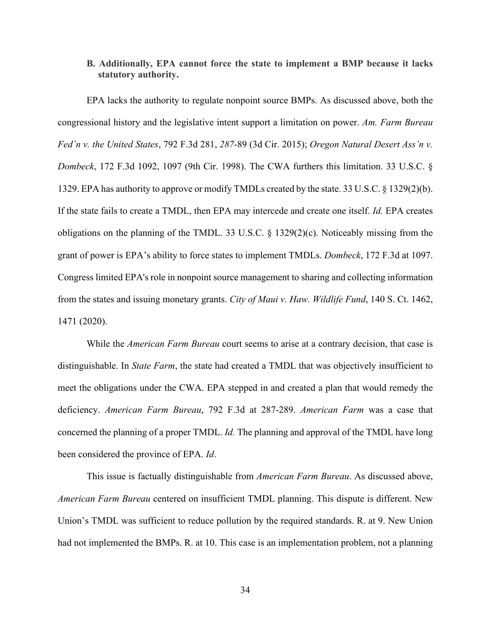### **B. Additionally, EPA cannot force the state to implement a BMP because it lacks statutory authority.**

EPA lacks the authority to regulate nonpoint source BMPs. As discussed above, both the congressional history and the legislative intent support a limitation on power. *Am. Farm Bureau Fed'n v. the United States*, 792 F.3d 281, *287*-89 (3d Cir. 2015); *Oregon Natural Desert Ass'n v. Dombeck*, 172 F.3d 1092, 1097 (9th Cir. 1998). The CWA furthers this limitation. 33 U.S.C. § 1329. EPA has authority to approve or modify TMDLs created by the state. 33 U.S.C. § 1329(2)(b). If the state fails to create a TMDL, then EPA may intercede and create one itself. *Id.* EPA creates obligations on the planning of the TMDL. 33 U.S.C. § 1329(2)(c). Noticeably missing from the grant of power is EPA's ability to force states to implement TMDLs. *Dombeck*, 172 F.3d at 1097. Congress limited EPA's role in nonpoint source management to sharing and collecting information from the states and issuing monetary grants. *City of Maui v. Haw. Wildlife Fund*, 140 S. Ct. 1462, 1471 (2020).

While the *American Farm Bureau* court seems to arise at a contrary decision, that case is distinguishable. In *State Farm*, the state had created a TMDL that was objectively insufficient to meet the obligations under the CWA. EPA stepped in and created a plan that would remedy the deficiency. *American Farm Bureau*, 792 F.3d at 287-289. *American Farm* was a case that concerned the planning of a proper TMDL. *Id.* The planning and approval of the TMDL have long been considered the province of EPA. *Id*.

This issue is factually distinguishable from *American Farm Bureau*. As discussed above, *American Farm Bureau* centered on insufficient TMDL planning. This dispute is different. New Union's TMDL was sufficient to reduce pollution by the required standards. R. at 9. New Union had not implemented the BMPs. R. at 10. This case is an implementation problem, not a planning